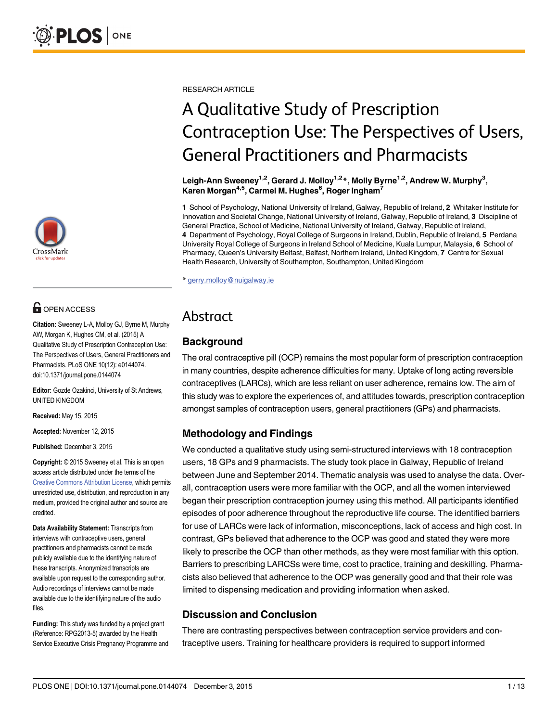

# **G** OPEN ACCESS

Citation: Sweeney L-A, Molloy GJ, Byrne M, Murphy AW, Morgan K, Hughes CM, et al. (2015) A Qualitative Study of Prescription Contraception Use: The Perspectives of Users, General Practitioners and Pharmacists. PLoS ONE 10(12): e0144074. doi:10.1371/journal.pone.0144074

Editor: Gozde Ozakinci, University of St Andrews, UNITED KINGDOM

Received: May 15, 2015

Accepted: November 12, 2015

Published: December 3, 2015

Copyright: © 2015 Sweeney et al. This is an open access article distributed under the terms of the [Creative Commons Attribution License,](http://creativecommons.org/licenses/by/4.0/) which permits unrestricted use, distribution, and reproduction in any medium, provided the original author and source are credited.

Data Availability Statement: Transcripts from interviews with contraceptive users, general practitioners and pharmacists cannot be made publicly available due to the identifying nature of these transcripts. Anonymized transcripts are available upon request to the corresponding author. Audio recordings of interviews cannot be made available due to the identifying nature of the audio files.

Funding: This study was funded by a project grant (Reference: RPG2013-5) awarded by the Health Service Executive Crisis Pregnancy Programme and RESEARCH ARTICLE

# A Qualitative Study of Prescription Contraception Use: The Perspectives of Users, General Practitioners and Pharmacists

Leigh-Ann Sweeney<sup>1,2</sup>, Gerard J. Molloy<sup>1,2</sup>\*, Molly Byrne<sup>1,2</sup>, Andrew W. Murphy<sup>3</sup>, Karen Morgan<sup>4,5</sup>, Carmel M. Hughes<sup>6</sup>, Roger Ingham<sup>7</sup>

1 School of Psychology, National University of Ireland, Galway, Republic of Ireland, 2 Whitaker Institute for Innovation and Societal Change, National University of Ireland, Galway, Republic of Ireland, 3 Discipline of General Practice, School of Medicine, National University of Ireland, Galway, Republic of Ireland, 4 Department of Psychology, Royal College of Surgeons in Ireland, Dublin, Republic of Ireland, 5 Perdana University Royal College of Surgeons in Ireland School of Medicine, Kuala Lumpur, Malaysia, 6 School of Pharmacy, Queen's University Belfast, Belfast, Northern Ireland, United Kingdom, 7 Centre for Sexual Health Research, University of Southampton, Southampton, United Kingdom

\* gerry.molloy@nuigalway.ie

# Abstract

## **Background**

The oral contraceptive pill (OCP) remains the most popular form of prescription contraception in many countries, despite adherence difficulties for many. Uptake of long acting reversible contraceptives (LARCs), which are less reliant on user adherence, remains low. The aim of this study was to explore the experiences of, and attitudes towards, prescription contraception amongst samples of contraception users, general practitioners (GPs) and pharmacists.

## Methodology and Findings

We conducted a qualitative study using semi-structured interviews with 18 contraception users, 18 GPs and 9 pharmacists. The study took place in Galway, Republic of Ireland between June and September 2014. Thematic analysis was used to analyse the data. Overall, contraception users were more familiar with the OCP, and all the women interviewed began their prescription contraception journey using this method. All participants identified episodes of poor adherence throughout the reproductive life course. The identified barriers for use of LARCs were lack of information, misconceptions, lack of access and high cost. In contrast, GPs believed that adherence to the OCP was good and stated they were more likely to prescribe the OCP than other methods, as they were most familiar with this option. Barriers to prescribing LARCSs were time, cost to practice, training and deskilling. Pharmacists also believed that adherence to the OCP was generally good and that their role was limited to dispensing medication and providing information when asked.

## Discussion and Conclusion

There are contrasting perspectives between contraception service providers and contraceptive users. Training for healthcare providers is required to support informed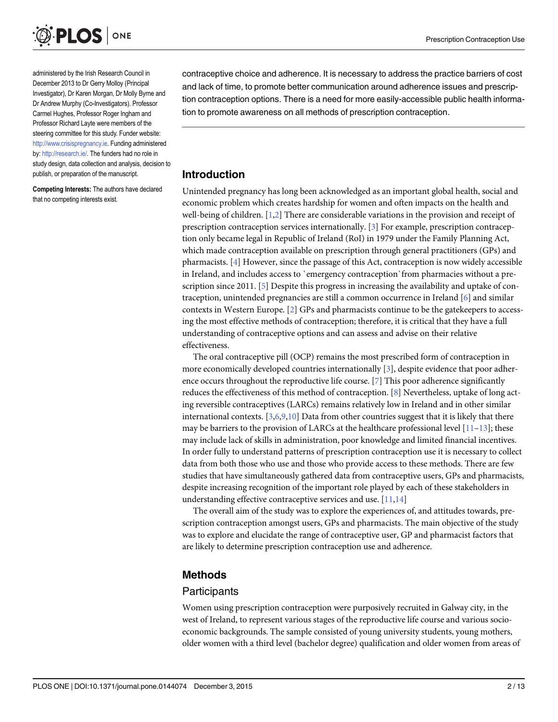<span id="page-1-0"></span>

administered by the Irish Research Council in December 2013 to Dr Gerry Molloy (Principal Investigator), Dr Karen Morgan, Dr Molly Byrne and Dr Andrew Murphy (Co-Investigators). Professor Carmel Hughes, Professor Roger Ingham and Professor Richard Layte were members of the steering committee for this study. Funder website: [http://www.crisispregnancy.ie.](http://www.crisispregnancy.ie) Funding administered by: <http://research.ie/>. The funders had no role in study design, data collection and analysis, decision to publish, or preparation of the manuscript.

Competing Interests: The authors have declared that no competing interests exist.

contraceptive choice and adherence. It is necessary to address the practice barriers of cost and lack of time, to promote better communication around adherence issues and prescription contraception options. There is a need for more easily-accessible public health information to promote awareness on all methods of prescription contraception.

#### Introduction

Unintended pregnancy has long been acknowledged as an important global health, social and economic problem which creates hardship for women and often impacts on the health and well-being of children. [[1,2](#page-11-0)] There are considerable variations in the provision and receipt of prescription contraception services internationally. [\[3](#page-11-0)] For example, prescription contraception only became legal in Republic of Ireland (RoI) in 1979 under the Family Planning Act, which made contraception available on prescription through general practitioners (GPs) and pharmacists. [[4\]](#page-11-0) However, since the passage of this Act, contraception is now widely accessible in Ireland, and includes access to `emergency contraception`from pharmacies without a pre-scription since 2011. [[5\]](#page-11-0) Despite this progress in increasing the availability and uptake of contraception, unintended pregnancies are still a common occurrence in Ireland [[6\]](#page-11-0) and similar contexts in Western Europe. [\[2](#page-11-0)] GPs and pharmacists continue to be the gatekeepers to accessing the most effective methods of contraception; therefore, it is critical that they have a full understanding of contraceptive options and can assess and advise on their relative effectiveness.

The oral contraceptive pill (OCP) remains the most prescribed form of contraception in more economically developed countries internationally [[3\]](#page-11-0), despite evidence that poor adherence occurs throughout the reproductive life course.  $[7]$  $[7]$  This poor adherence significantly reduces the effectiveness of this method of contraception. [\[8\]](#page-11-0) Nevertheless, uptake of long acting reversible contraceptives (LARCs) remains relatively low in Ireland and in other similar international contexts.  $[3,6,9,10]$  $[3,6,9,10]$  $[3,6,9,10]$  Data from other countries suggest that it is likely that there may be barriers to the provision of LARCs at the healthcare professional level  $[11-13]$  $[11-13]$  $[11-13]$  $[11-13]$  $[11-13]$ ; these may include lack of skills in administration, poor knowledge and limited financial incentives. In order fully to understand patterns of prescription contraception use it is necessary to collect data from both those who use and those who provide access to these methods. There are few studies that have simultaneously gathered data from contraceptive users, GPs and pharmacists, despite increasing recognition of the important role played by each of these stakeholders in understanding effective contraceptive services and use.  $[11,14]$  $[11,14]$  $[11,14]$  $[11,14]$  $[11,14]$ 

The overall aim of the study was to explore the experiences of, and attitudes towards, prescription contraception amongst users, GPs and pharmacists. The main objective of the study was to explore and elucidate the range of contraceptive user, GP and pharmacist factors that are likely to determine prescription contraception use and adherence.

#### Methods

#### Participants

Women using prescription contraception were purposively recruited in Galway city, in the west of Ireland, to represent various stages of the reproductive life course and various socioeconomic backgrounds. The sample consisted of young university students, young mothers, older women with a third level (bachelor degree) qualification and older women from areas of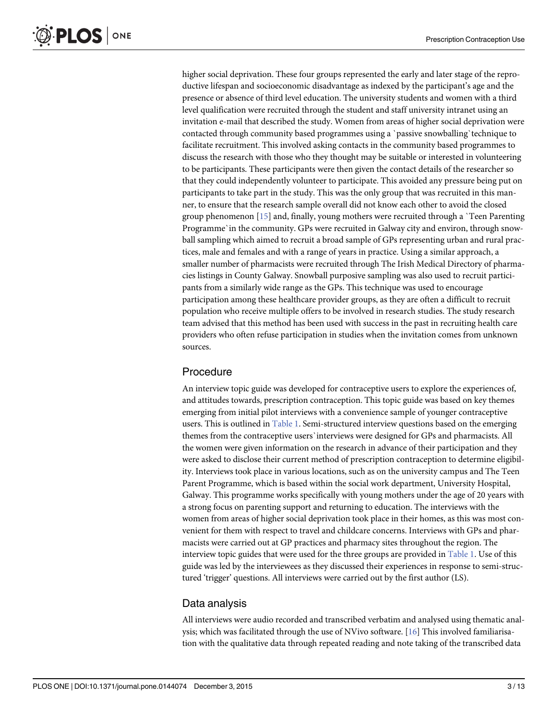<span id="page-2-0"></span>higher social deprivation. These four groups represented the early and later stage of the reproductive lifespan and socioeconomic disadvantage as indexed by the participant's age and the presence or absence of third level education. The university students and women with a third level qualification were recruited through the student and staff university intranet using an invitation e-mail that described the study. Women from areas of higher social deprivation were contacted through community based programmes using a `passive snowballing`technique to facilitate recruitment. This involved asking contacts in the community based programmes to discuss the research with those who they thought may be suitable or interested in volunteering to be participants. These participants were then given the contact details of the researcher so that they could independently volunteer to participate. This avoided any pressure being put on participants to take part in the study. This was the only group that was recruited in this manner, to ensure that the research sample overall did not know each other to avoid the closed group phenomenon [[15](#page-11-0)] and, finally, young mothers were recruited through a `Teen Parenting Programme`in the community. GPs were recruited in Galway city and environ, through snowball sampling which aimed to recruit a broad sample of GPs representing urban and rural practices, male and females and with a range of years in practice. Using a similar approach, a smaller number of pharmacists were recruited through The Irish Medical Directory of pharmacies listings in County Galway. Snowball purposive sampling was also used to recruit participants from a similarly wide range as the GPs. This technique was used to encourage participation among these healthcare provider groups, as they are often a difficult to recruit population who receive multiple offers to be involved in research studies. The study research team advised that this method has been used with success in the past in recruiting health care providers who often refuse participation in studies when the invitation comes from unknown sources.

#### Procedure

An interview topic guide was developed for contraceptive users to explore the experiences of, and attitudes towards, prescription contraception. This topic guide was based on key themes emerging from initial pilot interviews with a convenience sample of younger contraceptive users. This is outlined in  $Table 1$ . Semi-structured interview questions based on the emerging themes from the contraceptive users`interviews were designed for GPs and pharmacists. All the women were given information on the research in advance of their participation and they were asked to disclose their current method of prescription contraception to determine eligibility. Interviews took place in various locations, such as on the university campus and The Teen Parent Programme, which is based within the social work department, University Hospital, Galway. This programme works specifically with young mothers under the age of 20 years with a strong focus on parenting support and returning to education. The interviews with the women from areas of higher social deprivation took place in their homes, as this was most convenient for them with respect to travel and childcare concerns. Interviews with GPs and pharmacists were carried out at GP practices and pharmacy sites throughout the region. The interview topic guides that were used for the three groups are provided in [Table 1.](#page-3-0) Use of this guide was led by the interviewees as they discussed their experiences in response to semi-structured 'trigger' questions. All interviews were carried out by the first author (LS).

#### Data analysis

All interviews were audio recorded and transcribed verbatim and analysed using thematic analysis; which was facilitated through the use of NVivo software. [\[16\]](#page-11-0) This involved familiarisation with the qualitative data through repeated reading and note taking of the transcribed data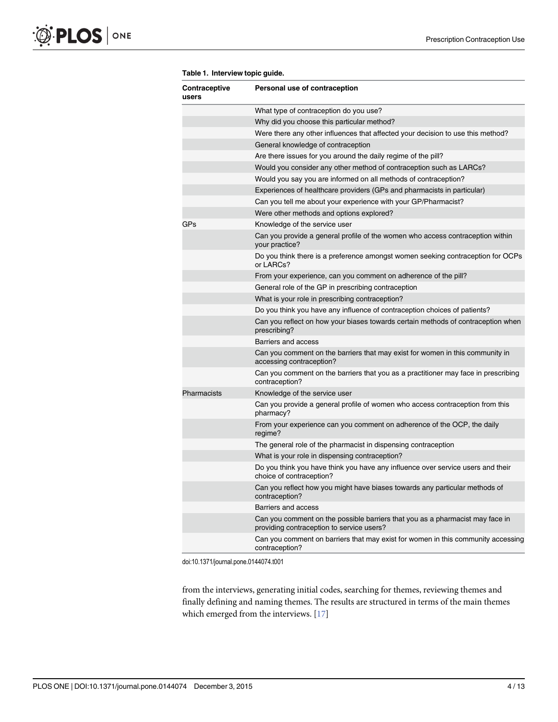|  | Table 1. Interview topic guide. |  |  |
|--|---------------------------------|--|--|
|--|---------------------------------|--|--|

<span id="page-3-0"></span>

| Contraceptive<br>users | Personal use of contraception                                                                                              |
|------------------------|----------------------------------------------------------------------------------------------------------------------------|
|                        | What type of contraception do you use?                                                                                     |
|                        | Why did you choose this particular method?                                                                                 |
|                        | Were there any other influences that affected your decision to use this method?                                            |
|                        | General knowledge of contraception                                                                                         |
|                        | Are there issues for you around the daily regime of the pill?                                                              |
|                        | Would you consider any other method of contraception such as LARCs?                                                        |
|                        | Would you say you are informed on all methods of contraception?                                                            |
|                        | Experiences of healthcare providers (GPs and pharmacists in particular)                                                    |
|                        | Can you tell me about your experience with your GP/Pharmacist?                                                             |
|                        | Were other methods and options explored?                                                                                   |
| GPs                    | Knowledge of the service user                                                                                              |
|                        | Can you provide a general profile of the women who access contraception within<br>your practice?                           |
|                        | Do you think there is a preference amongst women seeking contraception for OCPs<br>or LARCs?                               |
|                        | From your experience, can you comment on adherence of the pill?                                                            |
|                        | General role of the GP in prescribing contraception                                                                        |
|                        | What is your role in prescribing contraception?                                                                            |
|                        | Do you think you have any influence of contraception choices of patients?                                                  |
|                        | Can you reflect on how your biases towards certain methods of contraception when<br>prescribing?                           |
|                        | Barriers and access                                                                                                        |
|                        | Can you comment on the barriers that may exist for women in this community in<br>accessing contraception?                  |
|                        | Can you comment on the barriers that you as a practitioner may face in prescribing<br>contraception?                       |
| Pharmacists            | Knowledge of the service user                                                                                              |
|                        | Can you provide a general profile of women who access contraception from this<br>pharmacy?                                 |
|                        | From your experience can you comment on adherence of the OCP, the daily<br>regime?                                         |
|                        | The general role of the pharmacist in dispensing contraception                                                             |
|                        | What is your role in dispensing contraception?                                                                             |
|                        | Do you think you have think you have any influence over service users and their<br>choice of contraception?                |
|                        | Can you reflect how you might have biases towards any particular methods of<br>contraception?                              |
|                        | Barriers and access                                                                                                        |
|                        | Can you comment on the possible barriers that you as a pharmacist may face in<br>providing contraception to service users? |
|                        | Can you comment on barriers that may exist for women in this community accessing<br>contraception?                         |

doi:10.1371/journal.pone.0144074.t001

from the interviews, generating initial codes, searching for themes, reviewing themes and finally defining and naming themes. The results are structured in terms of the main themes which emerged from the interviews.  $[17]$  $[17]$  $[17]$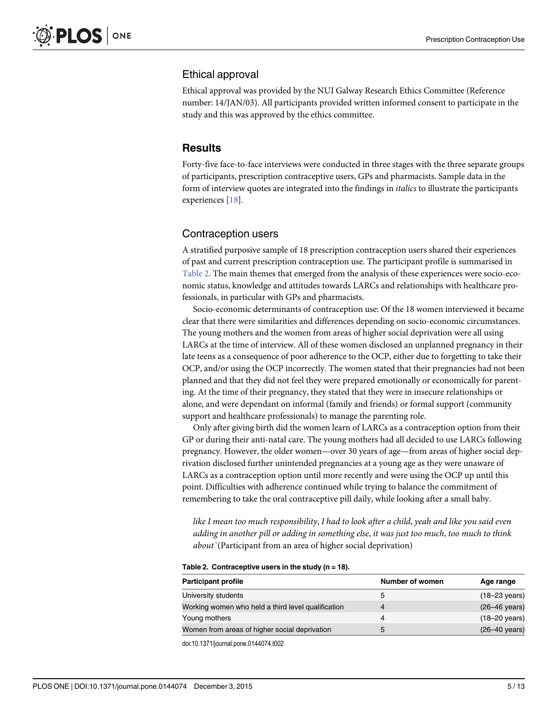#### <span id="page-4-0"></span>Ethical approval

Ethical approval was provided by the NUI Galway Research Ethics Committee (Reference number: 14/JAN/03). All participants provided written informed consent to participate in the study and this was approved by the ethics committee.

#### **Results**

Forty-five face-to-face interviews were conducted in three stages with the three separate groups of participants, prescription contraceptive users, GPs and pharmacists. Sample data in the form of interview quotes are integrated into the findings in italics to illustrate the participants experiences [[18](#page-11-0)].

#### Contraception users

A stratified purposive sample of 18 prescription contraception users shared their experiences of past and current prescription contraception use. The participant profile is summarised in Table 2. The main themes that emerged from the analysis of these experiences were socio-economic status, knowledge and attitudes towards LARCs and relationships with healthcare professionals, in particular with GPs and pharmacists.

Socio-economic determinants of contraception use: Of the 18 women interviewed it became clear that there were similarities and differences depending on socio-economic circumstances. The young mothers and the women from areas of higher social deprivation were all using LARCs at the time of interview. All of these women disclosed an unplanned pregnancy in their late teens as a consequence of poor adherence to the OCP, either due to forgetting to take their OCP, and/or using the OCP incorrectly. The women stated that their pregnancies had not been planned and that they did not feel they were prepared emotionally or economically for parenting. At the time of their pregnancy, they stated that they were in insecure relationships or alone, and were dependant on informal (family and friends) or formal support (community support and healthcare professionals) to manage the parenting role.

Only after giving birth did the women learn of LARCs as a contraception option from their GP or during their anti-natal care. The young mothers had all decided to use LARCs following pregnancy. However, the older women—over 30 years of age—from areas of higher social deprivation disclosed further unintended pregnancies at a young age as they were unaware of LARCs as a contraception option until more recently and were using the OCP up until this point. Difficulties with adherence continued while trying to balance the commitment of remembering to take the oral contraceptive pill daily, while looking after a small baby.

like I mean too much responsibility, I had to look after a child, yeah and like you said even adding in another pill or adding in something else, it was just too much, too much to think about '(Participant from an area of higher social deprivation)

|  | Table 2. Contraceptive users in the study ( $n = 18$ ). |  |  |  |
|--|---------------------------------------------------------|--|--|--|
|--|---------------------------------------------------------|--|--|--|

| <b>Participant profile</b>                         | Number of women | Age range               |
|----------------------------------------------------|-----------------|-------------------------|
| University students                                | 5               | $(18-23 \text{ years})$ |
| Working women who held a third level qualification | 4               | $(26-46 \text{ years})$ |
| Young mothers                                      | 4               | $(18-20 \text{ years})$ |
| Women from areas of higher social deprivation      | 5               | $(26-40 \text{ years})$ |
|                                                    |                 |                         |

doi:10.1371/journal.pone.0144074.t002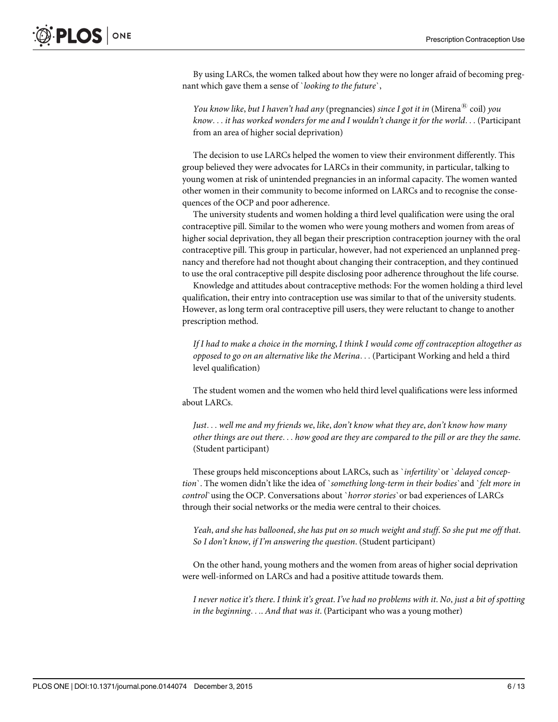By using LARCs, the women talked about how they were no longer afraid of becoming pregnant which gave them a sense of *`looking to the future*`,

You know like, but I haven't had any (pregnancies) since I got it in (Mirena<sup>®</sup> coil) you know... it has worked wonders for me and I wouldn't change it for the world... (Participant from an area of higher social deprivation)

The decision to use LARCs helped the women to view their environment differently. This group believed they were advocates for LARCs in their community, in particular, talking to young women at risk of unintended pregnancies in an informal capacity. The women wanted other women in their community to become informed on LARCs and to recognise the consequences of the OCP and poor adherence.

The university students and women holding a third level qualification were using the oral contraceptive pill. Similar to the women who were young mothers and women from areas of higher social deprivation, they all began their prescription contraception journey with the oral contraceptive pill. This group in particular, however, had not experienced an unplanned pregnancy and therefore had not thought about changing their contraception, and they continued to use the oral contraceptive pill despite disclosing poor adherence throughout the life course.

Knowledge and attitudes about contraceptive methods: For the women holding a third level qualification, their entry into contraception use was similar to that of the university students. However, as long term oral contraceptive pill users, they were reluctant to change to another prescription method.

If I had to make a choice in the morning, I think I would come off contraception altogether as opposed to go on an alternative like the Merina... (Participant Working and held a third level qualification)

The student women and the women who held third level qualifications were less informed about LARCs.

Just... well me and my friends we, like, don't know what they are, don't know how many other things are out there... how good are they are compared to the pill or are they the same. (Student participant)

These groups held misconceptions about LARCs, such as 'infertility' or 'delayed conception`. The women didn't like the idea of `something long-term in their bodies`and `felt more in control'using the OCP. Conversations about 'horror stories' or bad experiences of LARCs through their social networks or the media were central to their choices.

Yeah, and she has ballooned, she has put on so much weight and stuff. So she put me off that. So I don't know, if I'm answering the question. (Student participant)

On the other hand, young mothers and the women from areas of higher social deprivation were well-informed on LARCs and had a positive attitude towards them.

I never notice it's there. I think it's great. I've had no problems with it. No, just a bit of spotting in the beginning.... And that was it. (Participant who was a young mother)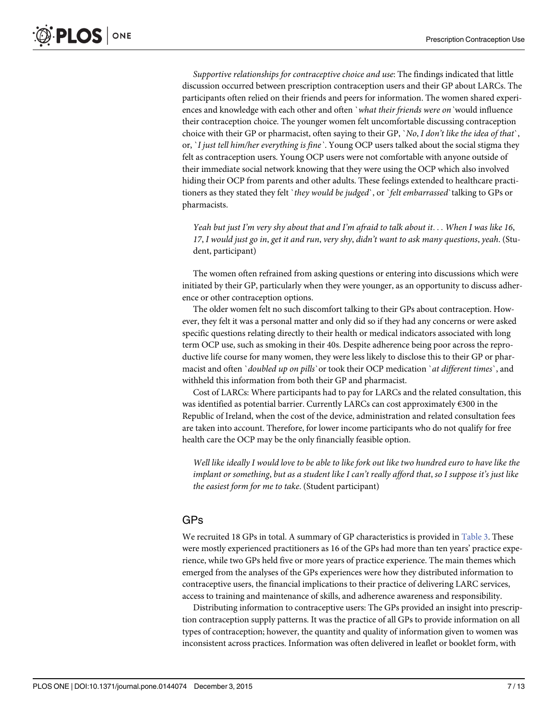<span id="page-6-0"></span>Supportive relationships for contraceptive choice and use: The findings indicated that little discussion occurred between prescription contraception users and their GP about LARCs. The participants often relied on their friends and peers for information. The women shared experiences and knowledge with each other and often 'what their friends were on 'would influence their contraception choice. The younger women felt uncomfortable discussing contraception choice with their GP or pharmacist, often saying to their GP, `No, I don't like the idea of that`, or, `I just tell him/her everything is fine`. Young OCP users talked about the social stigma they felt as contraception users. Young OCP users were not comfortable with anyone outside of their immediate social network knowing that they were using the OCP which also involved hiding their OCP from parents and other adults. These feelings extended to healthcare practitioners as they stated they felt `they would be judged`, or `felt embarrassed`talking to GPs or pharmacists.

Yeah but just I'm very shy about that and I'm afraid to talk about it... When I was like 16, 17, I would just go in, get it and run, very shy, didn't want to ask many questions, yeah. (Student, participant)

The women often refrained from asking questions or entering into discussions which were initiated by their GP, particularly when they were younger, as an opportunity to discuss adherence or other contraception options.

The older women felt no such discomfort talking to their GPs about contraception. However, they felt it was a personal matter and only did so if they had any concerns or were asked specific questions relating directly to their health or medical indicators associated with long term OCP use, such as smoking in their 40s. Despite adherence being poor across the reproductive life course for many women, they were less likely to disclose this to their GP or pharmacist and often *`doubled up on pills*`or took their OCP medication *`at different times* `, and withheld this information from both their GP and pharmacist.

Cost of LARCs: Where participants had to pay for LARCs and the related consultation, this was identified as potential barrier. Currently LARCs can cost approximately €300 in the Republic of Ireland, when the cost of the device, administration and related consultation fees are taken into account. Therefore, for lower income participants who do not qualify for free health care the OCP may be the only financially feasible option.

Well like ideally I would love to be able to like fork out like two hundred euro to have like the implant or something, but as a student like I can't really afford that, so I suppose it's just like the easiest form for me to take. (Student participant)

#### GPs

We recruited 18 GPs in total. A summary of GP characteristics is provided in [Table 3.](#page-7-0) These were mostly experienced practitioners as 16 of the GPs had more than ten years' practice experience, while two GPs held five or more years of practice experience. The main themes which emerged from the analyses of the GPs experiences were how they distributed information to contraceptive users, the financial implications to their practice of delivering LARC services, access to training and maintenance of skills, and adherence awareness and responsibility.

Distributing information to contraceptive users: The GPs provided an insight into prescription contraception supply patterns. It was the practice of all GPs to provide information on all types of contraception; however, the quantity and quality of information given to women was inconsistent across practices. Information was often delivered in leaflet or booklet form, with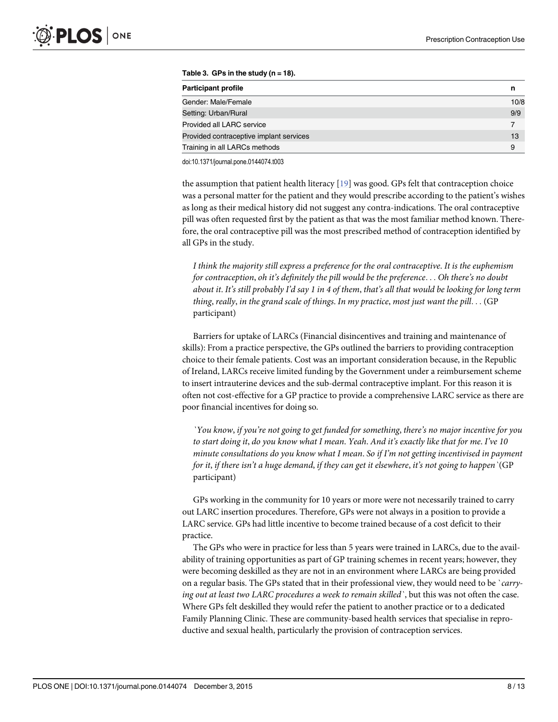<span id="page-7-0"></span>[Table 3.](#page-6-0) GPs in the study ( $n = 18$ ).

| <b>Participant profile</b>              | n    |
|-----------------------------------------|------|
| Gender: Male/Female                     | 10/8 |
| Setting: Urban/Rural                    | 9/9  |
| Provided all LARC service               |      |
| Provided contraceptive implant services | 13   |
| Training in all LARCs methods           |      |
|                                         |      |

doi:10.1371/journal.pone.0144074.t003

the assumption that patient health literacy [[19](#page-11-0)] was good. GPs felt that contraception choice was a personal matter for the patient and they would prescribe according to the patient's wishes as long as their medical history did not suggest any contra-indications. The oral contraceptive pill was often requested first by the patient as that was the most familiar method known. Therefore, the oral contraceptive pill was the most prescribed method of contraception identified by all GPs in the study.

I think the majority still express a preference for the oral contraceptive. It is the euphemism for contraception, oh it's definitely the pill would be the preference... Oh there's no doubt about it. It's still probably I'd say 1 in 4 of them, that's all that would be looking for long term thing, really, in the grand scale of things. In my practice, most just want the pill... (GP participant)

Barriers for uptake of LARCs (Financial disincentives and training and maintenance of skills): From a practice perspective, the GPs outlined the barriers to providing contraception choice to their female patients. Cost was an important consideration because, in the Republic of Ireland, LARCs receive limited funding by the Government under a reimbursement scheme to insert intrauterine devices and the sub-dermal contraceptive implant. For this reason it is often not cost-effective for a GP practice to provide a comprehensive LARC service as there are poor financial incentives for doing so.

`You know, if you're not going to get funded for something, there's no major incentive for you to start doing it, do you know what I mean. Yeah. And it's exactly like that for me. I've 10 minute consultations do you know what I mean. So if I'm not getting incentivised in payment for it, if there isn't a huge demand, if they can get it elsewhere, it's not going to happen`(GP participant)

GPs working in the community for 10 years or more were not necessarily trained to carry out LARC insertion procedures. Therefore, GPs were not always in a position to provide a LARC service. GPs had little incentive to become trained because of a cost deficit to their practice.

The GPs who were in practice for less than 5 years were trained in LARCs, due to the availability of training opportunities as part of GP training schemes in recent years; however, they were becoming deskilled as they are not in an environment where LARCs are being provided on a regular basis. The GPs stated that in their professional view, they would need to be  $\gamma$  carrying out at least two LARC procedures a week to remain skilled`, but this was not often the case. Where GPs felt deskilled they would refer the patient to another practice or to a dedicated Family Planning Clinic. These are community-based health services that specialise in reproductive and sexual health, particularly the provision of contraception services.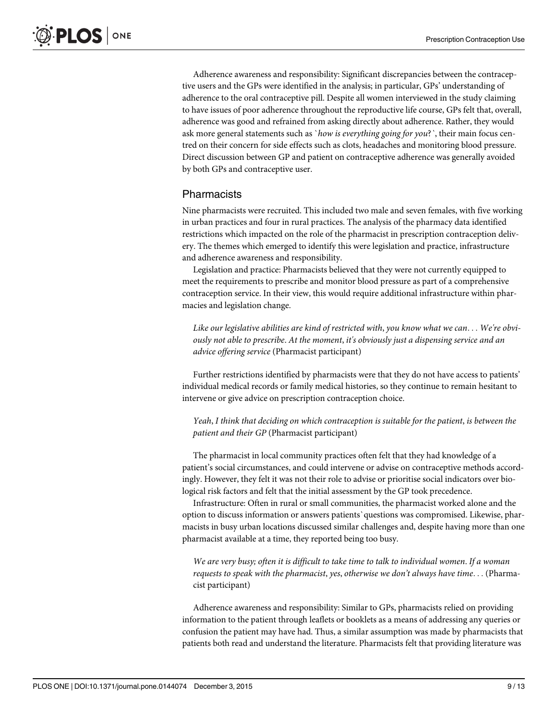Adherence awareness and responsibility: Significant discrepancies between the contraceptive users and the GPs were identified in the analysis; in particular, GPs' understanding of adherence to the oral contraceptive pill. Despite all women interviewed in the study claiming to have issues of poor adherence throughout the reproductive life course, GPs felt that, overall, adherence was good and refrained from asking directly about adherence. Rather, they would ask more general statements such as `how is everything going for you?`, their main focus centred on their concern for side effects such as clots, headaches and monitoring blood pressure. Direct discussion between GP and patient on contraceptive adherence was generally avoided by both GPs and contraceptive user.

#### **Pharmacists**

Nine pharmacists were recruited. This included two male and seven females, with five working in urban practices and four in rural practices. The analysis of the pharmacy data identified restrictions which impacted on the role of the pharmacist in prescription contraception delivery. The themes which emerged to identify this were legislation and practice, infrastructure and adherence awareness and responsibility.

Legislation and practice: Pharmacists believed that they were not currently equipped to meet the requirements to prescribe and monitor blood pressure as part of a comprehensive contraception service. In their view, this would require additional infrastructure within pharmacies and legislation change.

Like our legislative abilities are kind of restricted with, you know what we can... We're obviously not able to prescribe. At the moment, it's obviously just a dispensing service and an advice offering service (Pharmacist participant)

Further restrictions identified by pharmacists were that they do not have access to patients' individual medical records or family medical histories, so they continue to remain hesitant to intervene or give advice on prescription contraception choice.

Yeah, I think that deciding on which contraception is suitable for the patient, is between the patient and their GP (Pharmacist participant)

The pharmacist in local community practices often felt that they had knowledge of a patient's social circumstances, and could intervene or advise on contraceptive methods accordingly. However, they felt it was not their role to advise or prioritise social indicators over biological risk factors and felt that the initial assessment by the GP took precedence.

Infrastructure: Often in rural or small communities, the pharmacist worked alone and the option to discuss information or answers patients`questions was compromised. Likewise, pharmacists in busy urban locations discussed similar challenges and, despite having more than one pharmacist available at a time, they reported being too busy.

We are very busy; often it is difficult to take time to talk to individual women. If a woman requests to speak with the pharmacist, yes, otherwise we don't always have time... (Pharmacist participant)

Adherence awareness and responsibility: Similar to GPs, pharmacists relied on providing information to the patient through leaflets or booklets as a means of addressing any queries or confusion the patient may have had. Thus, a similar assumption was made by pharmacists that patients both read and understand the literature. Pharmacists felt that providing literature was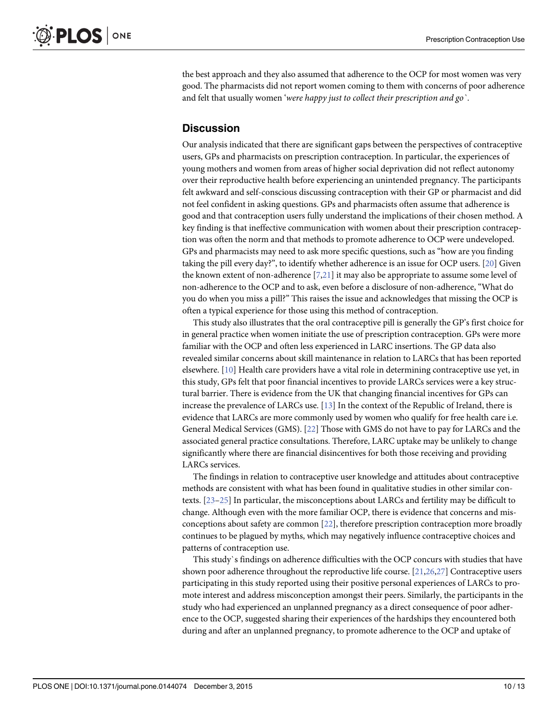<span id="page-9-0"></span>the best approach and they also assumed that adherence to the OCP for most women was very good. The pharmacists did not report women coming to them with concerns of poor adherence and felt that usually women 'were happy just to collect their prescription and go`.

#### **Discussion**

Our analysis indicated that there are significant gaps between the perspectives of contraceptive users, GPs and pharmacists on prescription contraception. In particular, the experiences of young mothers and women from areas of higher social deprivation did not reflect autonomy over their reproductive health before experiencing an unintended pregnancy. The participants felt awkward and self-conscious discussing contraception with their GP or pharmacist and did not feel confident in asking questions. GPs and pharmacists often assume that adherence is good and that contraception users fully understand the implications of their chosen method. A key finding is that ineffective communication with women about their prescription contraception was often the norm and that methods to promote adherence to OCP were undeveloped. GPs and pharmacists may need to ask more specific questions, such as "how are you finding taking the pill every day?", to identify whether adherence is an issue for OCP users. [[20](#page-12-0)] Given the known extent of non-adherence  $[7,21]$  $[7,21]$  $[7,21]$  it may also be appropriate to assume some level of non-adherence to the OCP and to ask, even before a disclosure of non-adherence, "What do you do when you miss a pill?" This raises the issue and acknowledges that missing the OCP is often a typical experience for those using this method of contraception.

This study also illustrates that the oral contraceptive pill is generally the GP's first choice for in general practice when women initiate the use of prescription contraception. GPs were more familiar with the OCP and often less experienced in LARC insertions. The GP data also revealed similar concerns about skill maintenance in relation to LARCs that has been reported elsewhere. [\[10](#page-11-0)] Health care providers have a vital role in determining contraceptive use yet, in this study, GPs felt that poor financial incentives to provide LARCs services were a key structural barrier. There is evidence from the UK that changing financial incentives for GPs can increase the prevalence of LARCs use. [[13](#page-11-0)] In the context of the Republic of Ireland, there is evidence that LARCs are more commonly used by women who qualify for free health care i.e. General Medical Services (GMS). [[22\]](#page-12-0) Those with GMS do not have to pay for LARCs and the associated general practice consultations. Therefore, LARC uptake may be unlikely to change significantly where there are financial disincentives for both those receiving and providing LARCs services.

The findings in relation to contraceptive user knowledge and attitudes about contraceptive methods are consistent with what has been found in qualitative studies in other similar contexts. [\[23](#page-12-0)–[25\]](#page-12-0) In particular, the misconceptions about LARCs and fertility may be difficult to change. Although even with the more familiar OCP, there is evidence that concerns and misconceptions about safety are common [[22](#page-12-0)], therefore prescription contraception more broadly continues to be plagued by myths, which may negatively influence contraceptive choices and patterns of contraception use.

This study`s findings on adherence difficulties with the OCP concurs with studies that have shown poor adherence throughout the reproductive life course. [[21,26,27\]](#page-12-0) Contraceptive users participating in this study reported using their positive personal experiences of LARCs to promote interest and address misconception amongst their peers. Similarly, the participants in the study who had experienced an unplanned pregnancy as a direct consequence of poor adherence to the OCP, suggested sharing their experiences of the hardships they encountered both during and after an unplanned pregnancy, to promote adherence to the OCP and uptake of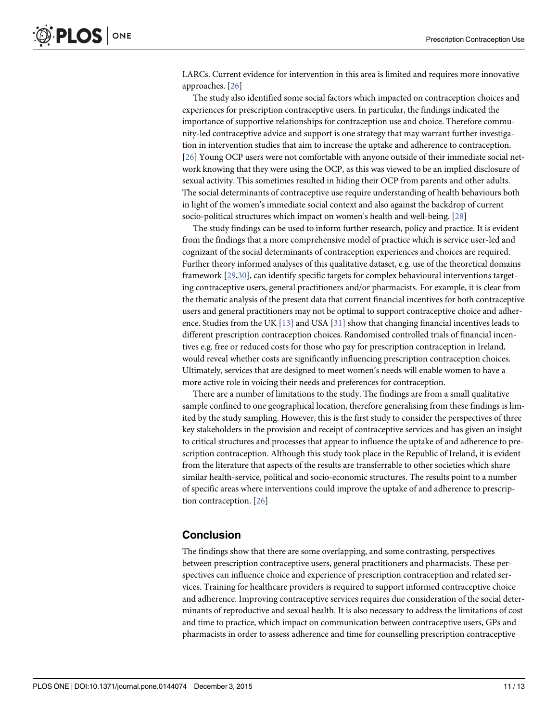<span id="page-10-0"></span>LARCs. Current evidence for intervention in this area is limited and requires more innovative approaches. [[26\]](#page-12-0)

The study also identified some social factors which impacted on contraception choices and experiences for prescription contraceptive users. In particular, the findings indicated the importance of supportive relationships for contraception use and choice. Therefore community-led contraceptive advice and support is one strategy that may warrant further investigation in intervention studies that aim to increase the uptake and adherence to contraception. [\[26](#page-12-0)] Young OCP users were not comfortable with anyone outside of their immediate social network knowing that they were using the OCP, as this was viewed to be an implied disclosure of sexual activity. This sometimes resulted in hiding their OCP from parents and other adults. The social determinants of contraceptive use require understanding of health behaviours both in light of the women's immediate social context and also against the backdrop of current socio-political structures which impact on women's health and well-being. [\[28\]](#page-12-0)

The study findings can be used to inform further research, policy and practice. It is evident from the findings that a more comprehensive model of practice which is service user-led and cognizant of the social determinants of contraception experiences and choices are required. Further theory informed analyses of this qualitative dataset, e.g. use of the theoretical domains framework [\[29,30\]](#page-12-0), can identify specific targets for complex behavioural interventions targeting contraceptive users, general practitioners and/or pharmacists. For example, it is clear from the thematic analysis of the present data that current financial incentives for both contraceptive users and general practitioners may not be optimal to support contraceptive choice and adherence. Studies from the UK [\[13\]](#page-11-0) and USA [\[31\]](#page-12-0) show that changing financial incentives leads to different prescription contraception choices. Randomised controlled trials of financial incentives e.g. free or reduced costs for those who pay for prescription contraception in Ireland, would reveal whether costs are significantly influencing prescription contraception choices. Ultimately, services that are designed to meet women's needs will enable women to have a more active role in voicing their needs and preferences for contraception.

There are a number of limitations to the study. The findings are from a small qualitative sample confined to one geographical location, therefore generalising from these findings is limited by the study sampling. However, this is the first study to consider the perspectives of three key stakeholders in the provision and receipt of contraceptive services and has given an insight to critical structures and processes that appear to influence the uptake of and adherence to prescription contraception. Although this study took place in the Republic of Ireland, it is evident from the literature that aspects of the results are transferrable to other societies which share similar health-service, political and socio-economic structures. The results point to a number of specific areas where interventions could improve the uptake of and adherence to prescription contraception. [\[26\]](#page-12-0)

#### Conclusion

The findings show that there are some overlapping, and some contrasting, perspectives between prescription contraceptive users, general practitioners and pharmacists. These perspectives can influence choice and experience of prescription contraception and related services. Training for healthcare providers is required to support informed contraceptive choice and adherence. Improving contraceptive services requires due consideration of the social determinants of reproductive and sexual health. It is also necessary to address the limitations of cost and time to practice, which impact on communication between contraceptive users, GPs and pharmacists in order to assess adherence and time for counselling prescription contraceptive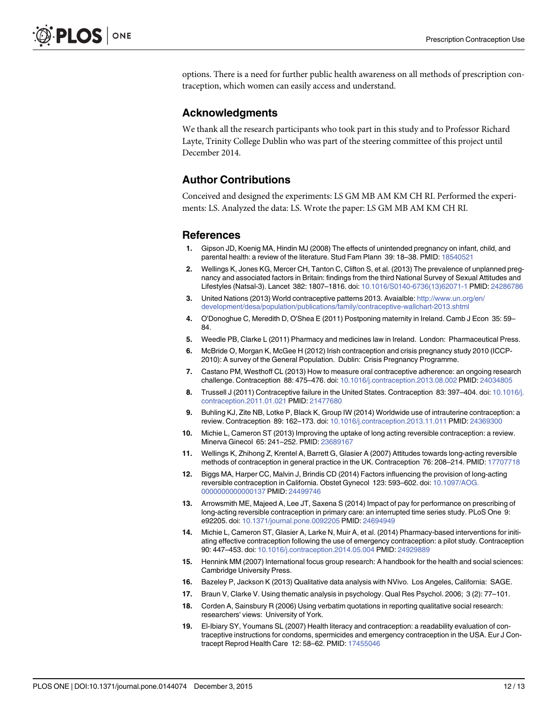<span id="page-11-0"></span>options. There is a need for further public health awareness on all methods of prescription contraception, which women can easily access and understand.

#### Acknowledgments

We thank all the research participants who took part in this study and to Professor Richard Layte, Trinity College Dublin who was part of the steering committee of this project until December 2014.

#### Author Contributions

Conceived and designed the experiments: LS GM MB AM KM CH RI. Performed the experiments: LS. Analyzed the data: LS. Wrote the paper: LS GM MB AM KM CH RI.

#### References

- [1.](#page-1-0) Gipson JD, Koenig MA, Hindin MJ (2008) The effects of unintended pregnancy on infant, child, and parental health: a review of the literature. Stud Fam Plann 39: 18–38. PMID: [18540521](http://www.ncbi.nlm.nih.gov/pubmed/18540521)
- [2.](#page-1-0) Wellings K, Jones KG, Mercer CH, Tanton C, Clifton S, et al. (2013) The prevalence of unplanned pregnancy and associated factors in Britain: findings from the third National Survey of Sexual Attitudes and Lifestyles (Natsal-3). Lancet 382: 1807–1816. doi: [10.1016/S0140-6736\(13\)62071-1](http://dx.doi.org/10.1016/S0140-6736(13)62071-1) PMID: [24286786](http://www.ncbi.nlm.nih.gov/pubmed/24286786)
- [3.](#page-1-0) United Nations (2013) World contraceptive patterns 2013. Avaialble: [http://www.un.org/en/](http://www.un.org/en/development/desa/population/publications/family/contraceptive-wallchart-2013.shtml) [development/desa/population/publications/family/contraceptive-wallchart-2013.shtml](http://www.un.org/en/development/desa/population/publications/family/contraceptive-wallchart-2013.shtml)
- [4.](#page-1-0) O'Donoghue C, Meredith D, O'Shea E (2011) Postponing maternity in Ireland. Camb J Econ 35: 59– 84.
- [5.](#page-1-0) Weedle PB, Clarke L (2011) Pharmacy and medicines law in Ireland. London: Pharmaceutical Press.
- [6.](#page-1-0) McBride O, Morgan K, McGee H (2012) Irish contraception and crisis pregnancy study 2010 (ICCP-2010): A survey of the General Population. Dublin: Crisis Pregnancy Programme.
- [7.](#page-1-0) Castano PM, Westhoff CL (2013) How to measure oral contraceptive adherence: an ongoing research challenge. Contraception 88: 475–476. doi: [10.1016/j.contraception.2013.08.002](http://dx.doi.org/10.1016/j.contraception.2013.08.002) PMID: [24034805](http://www.ncbi.nlm.nih.gov/pubmed/24034805)
- [8.](#page-1-0) Trussell J (2011) Contraceptive failure in the United States. Contraception 83: 397-404. doi: [10.1016/j.](http://dx.doi.org/10.1016/j.contraception.2011.01.021) [contraception.2011.01.021](http://dx.doi.org/10.1016/j.contraception.2011.01.021) PMID: [21477680](http://www.ncbi.nlm.nih.gov/pubmed/21477680)
- [9.](#page-1-0) Buhling KJ, Zite NB, Lotke P, Black K, Group IW (2014) Worldwide use of intrauterine contraception: a review. Contraception 89: 162–173. doi: [10.1016/j.contraception.2013.11.011](http://dx.doi.org/10.1016/j.contraception.2013.11.011) PMID: [24369300](http://www.ncbi.nlm.nih.gov/pubmed/24369300)
- [10.](#page-1-0) Michie L, Cameron ST (2013) Improving the uptake of long acting reversible contraception: a review. Minerva Ginecol 65: 241–252. PMID: [23689167](http://www.ncbi.nlm.nih.gov/pubmed/23689167)
- [11.](#page-1-0) Wellings K, Zhihong Z, Krentel A, Barrett G, Glasier A (2007) Attitudes towards long-acting reversible methods of contraception in general practice in the UK. Contraception 76: 208–214. PMID: [17707718](http://www.ncbi.nlm.nih.gov/pubmed/17707718)
- 12. Biggs MA, Harper CC, Malvin J, Brindis CD (2014) Factors influencing the provision of long-acting reversible contraception in California. Obstet Gynecol 123: 593–602. doi: [10.1097/AOG.](http://dx.doi.org/10.1097/AOG.0000000000000137) [0000000000000137](http://dx.doi.org/10.1097/AOG.0000000000000137) PMID: [24499746](http://www.ncbi.nlm.nih.gov/pubmed/24499746)
- [13.](#page-1-0) Arrowsmith ME, Majeed A, Lee JT, Saxena S (2014) Impact of pay for performance on prescribing of long-acting reversible contraception in primary care: an interrupted time series study. PLoS One 9: e92205. doi: [10.1371/journal.pone.0092205](http://dx.doi.org/10.1371/journal.pone.0092205) PMID: [24694949](http://www.ncbi.nlm.nih.gov/pubmed/24694949)
- [14.](#page-1-0) Michie L, Cameron ST, Glasier A, Larke N, Muir A, et al. (2014) Pharmacy-based interventions for initiating effective contraception following the use of emergency contraception: a pilot study. Contraception 90: 447–453. doi: [10.1016/j.contraception.2014.05.004](http://dx.doi.org/10.1016/j.contraception.2014.05.004) PMID: [24929889](http://www.ncbi.nlm.nih.gov/pubmed/24929889)
- [15.](#page-2-0) Hennink MM (2007) International focus group research: A handbook for the health and social sciences: Cambridge University Press.
- [16.](#page-2-0) Bazeley P, Jackson K (2013) Qualitative data analysis with NVivo. Los Angeles, California: SAGE.
- [17.](#page-3-0) Braun V, Clarke V. Using thematic analysis in psychology. Qual Res Psychol. 2006; 3 (2): 77–101.
- [18.](#page-4-0) Corden A, Sainsbury R (2006) Using verbatim quotations in reporting qualitative social research: researchers' views: University of York.
- [19.](#page-7-0) El-Ibiary SY, Youmans SL (2007) Health literacy and contraception: a readability evaluation of contraceptive instructions for condoms, spermicides and emergency contraception in the USA. Eur J Contracept Reprod Health Care 12: 58–62. PMID: [17455046](http://www.ncbi.nlm.nih.gov/pubmed/17455046)